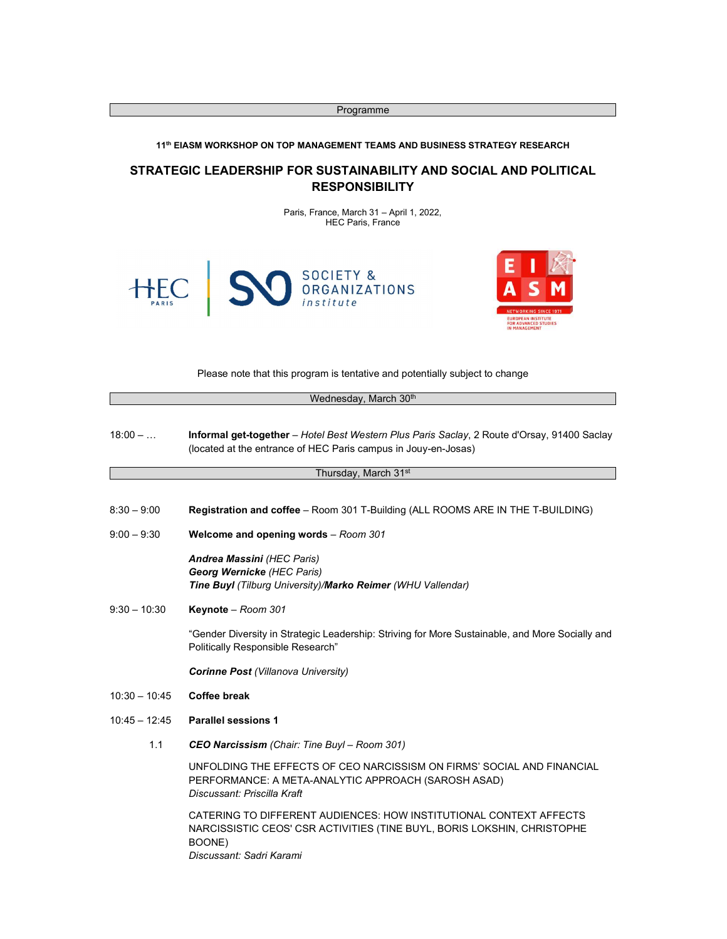Programme

## 11<sup>th</sup> EIASM WORKSHOP ON TOP MANAGEMENT TEAMS AND BUSINESS STRATEGY RESEARCH

# STRATEGIC LEADERSHIP FOR SUSTAINABILITY AND SOCIAL AND POLITICAL RESPONSIBILITY

Paris, France, March 31 – April 1, 2022, HEC Paris, France



Please note that this program is tentative and potentially subject to change

|                 | Wednesday, March 30th                                                                                                                                                               |
|-----------------|-------------------------------------------------------------------------------------------------------------------------------------------------------------------------------------|
| $18:00 - $      | Informal get-together - Hotel Best Western Plus Paris Saclay, 2 Route d'Orsay, 91400 Saclay<br>(located at the entrance of HEC Paris campus in Jouy-en-Josas)                       |
|                 | Thursday, March 31 <sup>st</sup>                                                                                                                                                    |
| $8:30 - 9:00$   | Registration and coffee - Room 301 T-Building (ALL ROOMS ARE IN THE T-BUILDING)                                                                                                     |
| $9:00 - 9:30$   | Welcome and opening words - Room 301                                                                                                                                                |
|                 | Andrea Massini (HEC Paris)<br>Georg Wernicke (HEC Paris)<br>Tine Buyl (Tilburg University)/Marko Reimer (WHU Vallendar)                                                             |
| $9:30 - 10:30$  | Keynote - Room 301                                                                                                                                                                  |
|                 | "Gender Diversity in Strategic Leadership: Striving for More Sustainable, and More Socially and<br>Politically Responsible Research"                                                |
|                 | <b>Corinne Post (Villanova University)</b>                                                                                                                                          |
| $10:30 - 10:45$ | <b>Coffee break</b>                                                                                                                                                                 |
| $10:45 - 12:45$ | <b>Parallel sessions 1</b>                                                                                                                                                          |
| 1.1             | <b>CEO Narcissism</b> (Chair: Tine Buyl – Room 301)                                                                                                                                 |
|                 | UNFOLDING THE EFFECTS OF CEO NARCISSISM ON FIRMS' SOCIAL AND FINANCIAL<br>PERFORMANCE: A META-ANALYTIC APPROACH (SAROSH ASAD)<br>Discussant: Priscilla Kraft                        |
|                 | CATERING TO DIFFERENT AUDIENCES: HOW INSTITUTIONAL CONTEXT AFFECTS<br>NARCISSISTIC CEOS' CSR ACTIVITIES (TINE BUYL, BORIS LOKSHIN, CHRISTOPHE<br>BOONE)<br>Discussant: Sadri Karami |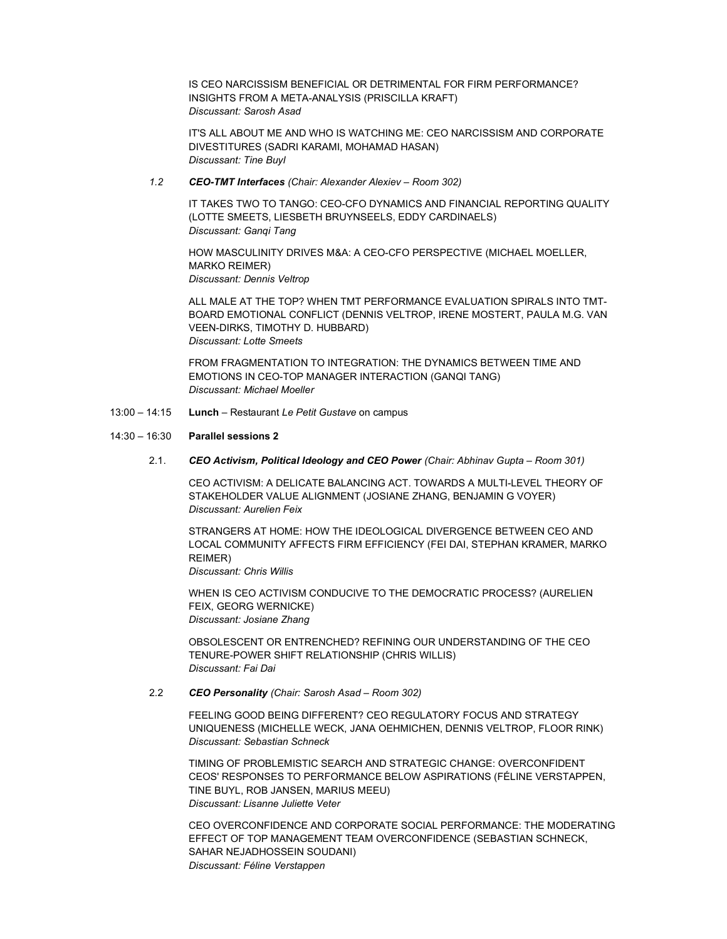IS CEO NARCISSISM BENEFICIAL OR DETRIMENTAL FOR FIRM PERFORMANCE? INSIGHTS FROM A META-ANALYSIS (PRISCILLA KRAFT) Discussant: Sarosh Asad

IT'S ALL ABOUT ME AND WHO IS WATCHING ME: CEO NARCISSISM AND CORPORATE DIVESTITURES (SADRI KARAMI, MOHAMAD HASAN) Discussant: Tine Buyl

#### 1.2 CEO-TMT Interfaces (Chair: Alexander Alexiev – Room 302)

IT TAKES TWO TO TANGO: CEO-CFO DYNAMICS AND FINANCIAL REPORTING QUALITY (LOTTE SMEETS, LIESBETH BRUYNSEELS, EDDY CARDINAELS) Discussant: Ganqi Tang

HOW MASCULINITY DRIVES M&A: A CEO-CFO PERSPECTIVE (MICHAEL MOELLER, MARKO REIMER) Discussant: Dennis Veltrop

ALL MALE AT THE TOP? WHEN TMT PERFORMANCE EVALUATION SPIRALS INTO TMT-BOARD EMOTIONAL CONFLICT (DENNIS VELTROP, IRENE MOSTERT, PAULA M.G. VAN VEEN-DIRKS, TIMOTHY D. HUBBARD) Discussant: Lotte Smeets

FROM FRAGMENTATION TO INTEGRATION: THE DYNAMICS BETWEEN TIME AND EMOTIONS IN CEO-TOP MANAGER INTERACTION (GANQI TANG) Discussant: Michael Moeller

13:00 – 14:15 Lunch – Restaurant Le Petit Gustave on campus

## 14:30 – 16:30 Parallel sessions 2

2.1. CEO Activism, Political Ideology and CEO Power (Chair: Abhinav Gupta – Room 301)

CEO ACTIVISM: A DELICATE BALANCING ACT. TOWARDS A MULTI-LEVEL THEORY OF STAKEHOLDER VALUE ALIGNMENT (JOSIANE ZHANG, BENJAMIN G VOYER) Discussant: Aurelien Feix

STRANGERS AT HOME: HOW THE IDEOLOGICAL DIVERGENCE BETWEEN CEO AND LOCAL COMMUNITY AFFECTS FIRM EFFICIENCY (FEI DAI, STEPHAN KRAMER, MARKO REIMER)

Discussant: Chris Willis

WHEN IS CEO ACTIVISM CONDUCIVE TO THE DEMOCRATIC PROCESS? (AURELIEN FEIX, GEORG WERNICKE) Discussant: Josiane Zhang

OBSOLESCENT OR ENTRENCHED? REFINING OUR UNDERSTANDING OF THE CEO TENURE-POWER SHIFT RELATIONSHIP (CHRIS WILLIS) Discussant: Fai Dai

# 2.2 CEO Personality (Chair: Sarosh Asad – Room 302)

FEELING GOOD BEING DIFFERENT? CEO REGULATORY FOCUS AND STRATEGY UNIQUENESS (MICHELLE WECK, JANA OEHMICHEN, DENNIS VELTROP, FLOOR RINK) Discussant: Sebastian Schneck

TIMING OF PROBLEMISTIC SEARCH AND STRATEGIC CHANGE: OVERCONFIDENT CEOS' RESPONSES TO PERFORMANCE BELOW ASPIRATIONS (FÉLINE VERSTAPPEN, TINE BUYL, ROB JANSEN, MARIUS MEEU) Discussant: Lisanne Juliette Veter

CEO OVERCONFIDENCE AND CORPORATE SOCIAL PERFORMANCE: THE MODERATING EFFECT OF TOP MANAGEMENT TEAM OVERCONFIDENCE (SEBASTIAN SCHNECK, SAHAR NEJADHOSSEIN SOUDANI) Discussant: Féline Verstappen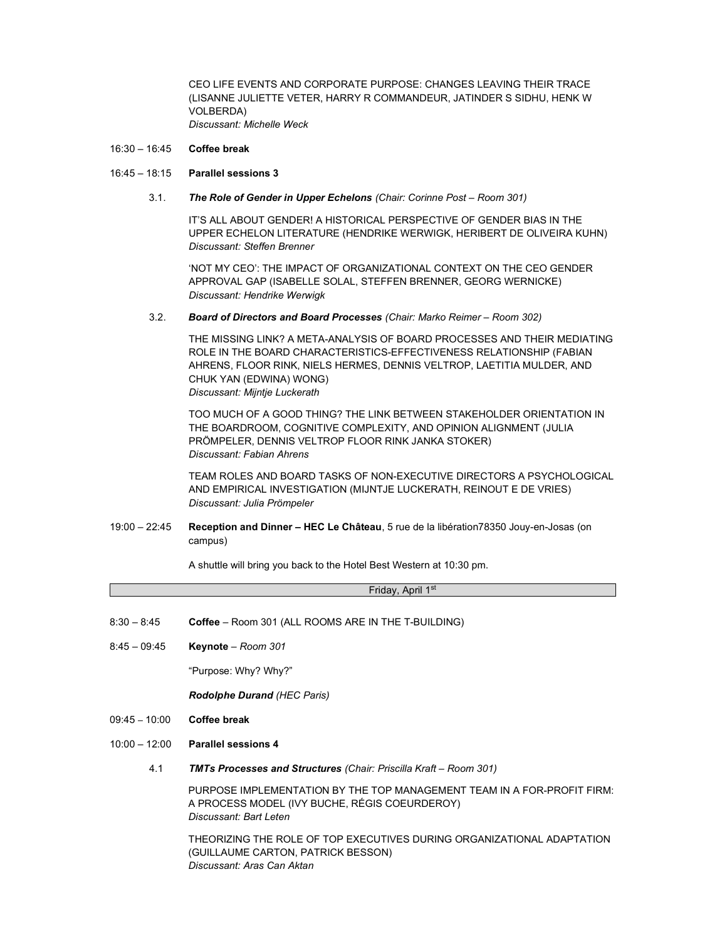CEO LIFE EVENTS AND CORPORATE PURPOSE: CHANGES LEAVING THEIR TRACE (LISANNE JULIETTE VETER, HARRY R COMMANDEUR, JATINDER S SIDHU, HENK W VOLBERDA) Discussant: Michelle Weck

#### 16:30 – 16:45 Coffee break

#### 16:45 – 18:15 Parallel sessions 3

## 3.1. The Role of Gender in Upper Echelons (Chair: Corinne Post – Room 301)

IT'S ALL ABOUT GENDER! A HISTORICAL PERSPECTIVE OF GENDER BIAS IN THE UPPER ECHELON LITERATURE (HENDRIKE WERWIGK, HERIBERT DE OLIVEIRA KUHN) Discussant: Steffen Brenner

'NOT MY CEO': THE IMPACT OF ORGANIZATIONAL CONTEXT ON THE CEO GENDER APPROVAL GAP (ISABELLE SOLAL, STEFFEN BRENNER, GEORG WERNICKE) Discussant: Hendrike Werwigk

#### 3.2. Board of Directors and Board Processes (Chair: Marko Reimer – Room 302)

THE MISSING LINK? A META-ANALYSIS OF BOARD PROCESSES AND THEIR MEDIATING ROLE IN THE BOARD CHARACTERISTICS-EFFECTIVENESS RELATIONSHIP (FABIAN AHRENS, FLOOR RINK, NIELS HERMES, DENNIS VELTROP, LAETITIA MULDER, AND CHUK YAN (EDWINA) WONG) Discussant: Mijntje Luckerath

TOO MUCH OF A GOOD THING? THE LINK BETWEEN STAKEHOLDER ORIENTATION IN THE BOARDROOM, COGNITIVE COMPLEXITY, AND OPINION ALIGNMENT (JULIA PRÖMPELER, DENNIS VELTROP FLOOR RINK JANKA STOKER) Discussant: Fabian Ahrens

TEAM ROLES AND BOARD TASKS OF NON-EXECUTIVE DIRECTORS A PSYCHOLOGICAL AND EMPIRICAL INVESTIGATION (MIJNTJE LUCKERATH, REINOUT E DE VRIES) Discussant: Julia Prömpeler

19:00 – 22:45 Reception and Dinner – HEC Le Château, 5 rue de la libération78350 Jouy-en-Josas (on campus)

A shuttle will bring you back to the Hotel Best Western at 10:30 pm.

Friday, April 1st

- 8:30 8:45 Coffee Room 301 (ALL ROOMS ARE IN THE T-BUILDING)
- 8:45 09:45 Keynote Room 301

"Purpose: Why? Why?"

Rodolphe Durand (HEC Paris)

- 09:45 10:00 Coffee break
- 10:00 12:00 Parallel sessions 4
	- 4.1 TMTs Processes and Structures (Chair: Priscilla Kraft Room 301)

PURPOSE IMPLEMENTATION BY THE TOP MANAGEMENT TEAM IN A FOR-PROFIT FIRM: A PROCESS MODEL (IVY BUCHE, RÉGIS COEURDEROY) Discussant: Bart Leten

THEORIZING THE ROLE OF TOP EXECUTIVES DURING ORGANIZATIONAL ADAPTATION (GUILLAUME CARTON, PATRICK BESSON) Discussant: Aras Can Aktan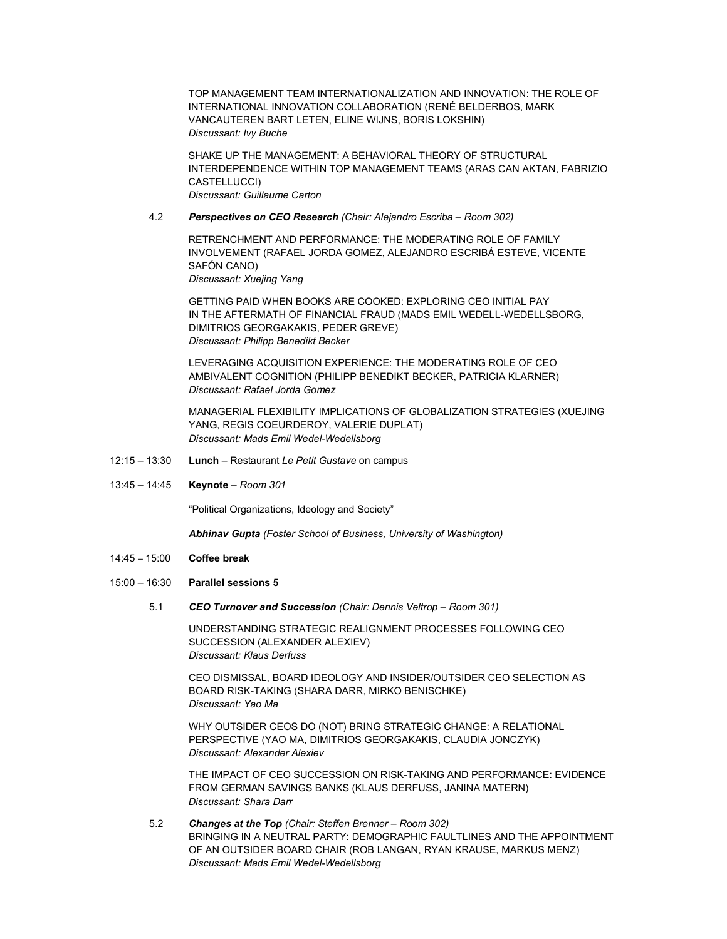TOP MANAGEMENT TEAM INTERNATIONALIZATION AND INNOVATION: THE ROLE OF INTERNATIONAL INNOVATION COLLABORATION (RENÉ BELDERBOS, MARK VANCAUTEREN BART LETEN, ELINE WIJNS, BORIS LOKSHIN) Discussant: Ivy Buche

SHAKE UP THE MANAGEMENT: A BEHAVIORAL THEORY OF STRUCTURAL INTERDEPENDENCE WITHIN TOP MANAGEMENT TEAMS (ARAS CAN AKTAN, FABRIZIO CASTELLUCCI) Discussant: Guillaume Carton

### 4.2 Perspectives on CEO Research (Chair: Alejandro Escriba – Room 302)

RETRENCHMENT AND PERFORMANCE: THE MODERATING ROLE OF FAMILY INVOLVEMENT (RAFAEL JORDA GOMEZ, ALEJANDRO ESCRIBÁ ESTEVE, VICENTE SAFÓN CANO)

Discussant: Xuejing Yang

GETTING PAID WHEN BOOKS ARE COOKED: EXPLORING CEO INITIAL PAY IN THE AFTERMATH OF FINANCIAL FRAUD (MADS EMIL WEDELL-WEDELLSBORG, DIMITRIOS GEORGAKAKIS, PEDER GREVE) Discussant: Philipp Benedikt Becker

LEVERAGING ACQUISITION EXPERIENCE: THE MODERATING ROLE OF CEO AMBIVALENT COGNITION (PHILIPP BENEDIKT BECKER, PATRICIA KLARNER) Discussant: Rafael Jorda Gomez

MANAGERIAL FLEXIBILITY IMPLICATIONS OF GLOBALIZATION STRATEGIES (XUEJING YANG, REGIS COEURDEROY, VALERIE DUPLAT) Discussant: Mads Emil Wedel-Wedellsborg

- 12:15 13:30 Lunch Restaurant Le Petit Gustave on campus
- 13:45 14:45 Keynote Room 301

"Political Organizations, Ideology and Society"

Abhinav Gupta (Foster School of Business, University of Washington)

- 14:45 15:00 Coffee break
- 15:00 16:30 Parallel sessions 5
	- 5.1 CEO Turnover and Succession (Chair: Dennis Veltrop Room 301)

UNDERSTANDING STRATEGIC REALIGNMENT PROCESSES FOLLOWING CEO SUCCESSION (ALEXANDER ALEXIEV) Discussant: Klaus Derfuss

CEO DISMISSAL, BOARD IDEOLOGY AND INSIDER/OUTSIDER CEO SELECTION AS BOARD RISK-TAKING (SHARA DARR, MIRKO BENISCHKE) Discussant: Yao Ma

WHY OUTSIDER CEOS DO (NOT) BRING STRATEGIC CHANGE: A RELATIONAL PERSPECTIVE (YAO MA, DIMITRIOS GEORGAKAKIS, CLAUDIA JONCZYK) Discussant: Alexander Alexiev

THE IMPACT OF CEO SUCCESSION ON RISK-TAKING AND PERFORMANCE: EVIDENCE FROM GERMAN SAVINGS BANKS (KLAUS DERFUSS, JANINA MATERN) Discussant: Shara Darr

 5.2 Changes at the Top (Chair: Steffen Brenner – Room 302) BRINGING IN A NEUTRAL PARTY: DEMOGRAPHIC FAULTLINES AND THE APPOINTMENT OF AN OUTSIDER BOARD CHAIR (ROB LANGAN, RYAN KRAUSE, MARKUS MENZ) Discussant: Mads Emil Wedel-Wedellsborg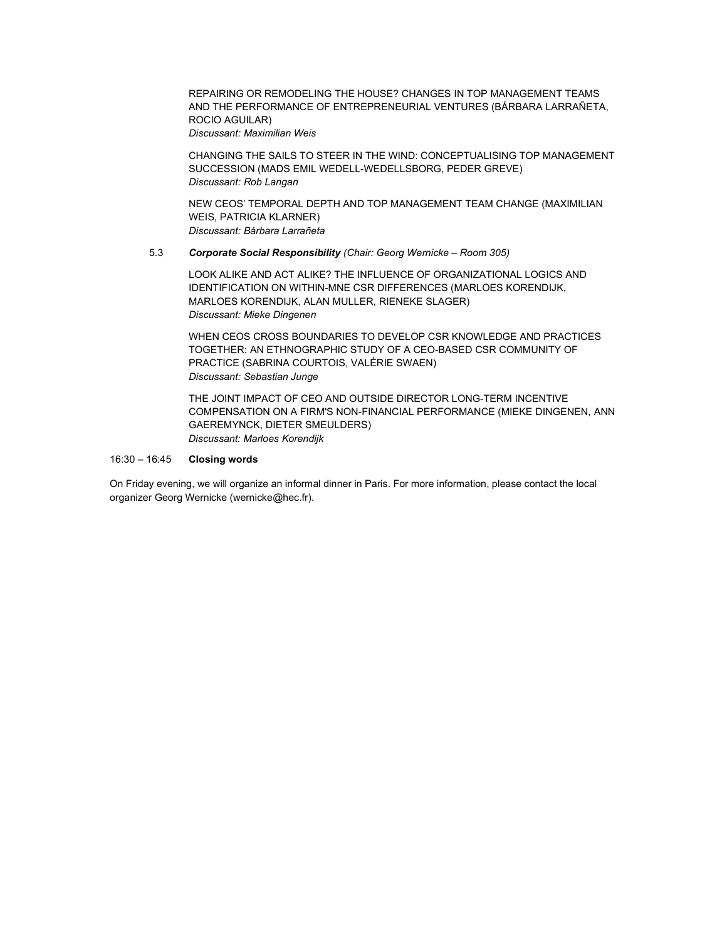REPAIRING OR REMODELING THE HOUSE? CHANGES IN TOP MANAGEMENT TEAMS AND THE PERFORMANCE OF ENTREPRENEURIAL VENTURES (BÁRBARA LARRAÑETA, ROCIO AGUILAR) Discussant: Maximilian Weis

CHANGING THE SAILS TO STEER IN THE WIND: CONCEPTUALISING TOP MANAGEMENT SUCCESSION (MADS EMIL WEDELL-WEDELLSBORG, PEDER GREVE) Discussant: Rob Langan

NEW CEOS' TEMPORAL DEPTH AND TOP MANAGEMENT TEAM CHANGE (MAXIMILIAN WEIS, PATRICIA KLARNER) Discussant: Bárbara Larrañeta

#### 5.3 Corporate Social Responsibility (Chair: Georg Wernicke – Room 305)

LOOK ALIKE AND ACT ALIKE? THE INFLUENCE OF ORGANIZATIONAL LOGICS AND IDENTIFICATION ON WITHIN-MNE CSR DIFFERENCES (MARLOES KORENDIJK, MARLOES KORENDIJK, ALAN MULLER, RIENEKE SLAGER) Discussant: Mieke Dingenen

WHEN CEOS CROSS BOUNDARIES TO DEVELOP CSR KNOWLEDGE AND PRACTICES TOGETHER: AN ETHNOGRAPHIC STUDY OF A CEO-BASED CSR COMMUNITY OF PRACTICE (SABRINA COURTOIS, VALÉRIE SWAEN) Discussant: Sebastian Junge

THE JOINT IMPACT OF CEO AND OUTSIDE DIRECTOR LONG-TERM INCENTIVE COMPENSATION ON A FIRM'S NON-FINANCIAL PERFORMANCE (MIEKE DINGENEN, ANN GAEREMYNCK, DIETER SMEULDERS) Discussant: Marloes Korendijk

#### 16:30 – 16:45 Closing words

On Friday evening, we will organize an informal dinner in Paris. For more information, please contact the local organizer Georg Wernicke (wernicke@hec.fr).